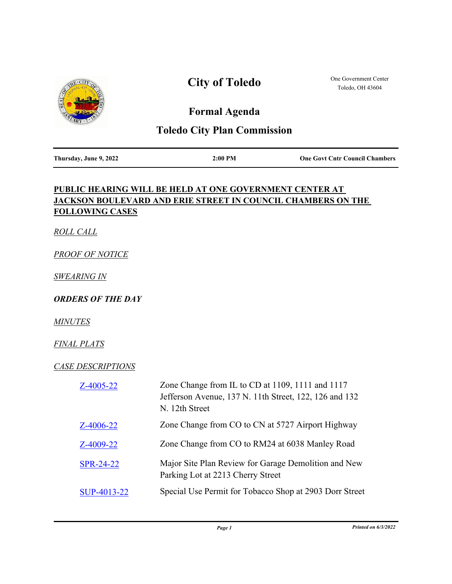

## **City of Toledo**

One Government Center Toledo, OH 43604

## **Formal Agenda**

## **Toledo City Plan Commission**

| Thursday, June 9, 2022 |  |  |
|------------------------|--|--|

**Thursday, June 9, 2022 2:00 PM One Govt Cntr Council Chambers**

## **PUBLIC HEARING WILL BE HELD AT ONE GOVERNMENT CENTER AT JACKSON BOULEVARD AND ERIE STREET IN COUNCIL CHAMBERS ON THE FOLLOWING CASES**

*ROLL CALL*

*PROOF OF NOTICE*

*SWEARING IN*

*ORDERS OF THE DAY*

*MINUTES*

*FINAL PLATS*

*CASE DESCRIPTIONS*

| $Z-4005-22$      | Zone Change from IL to CD at 1109, 1111 and 1117<br>Jefferson Avenue, 137 N. 11th Street, 122, 126 and 132<br>N. 12th Street |
|------------------|------------------------------------------------------------------------------------------------------------------------------|
| $Z-4006-22$      | Zone Change from CO to CN at 5727 Airport Highway                                                                            |
| Z-4009-22        | Zone Change from CO to RM24 at 6038 Manley Road                                                                              |
| <b>SPR-24-22</b> | Major Site Plan Review for Garage Demolition and New<br>Parking Lot at 2213 Cherry Street                                    |
| SUP-4013-22      | Special Use Permit for Tobacco Shop at 2903 Dorr Street                                                                      |